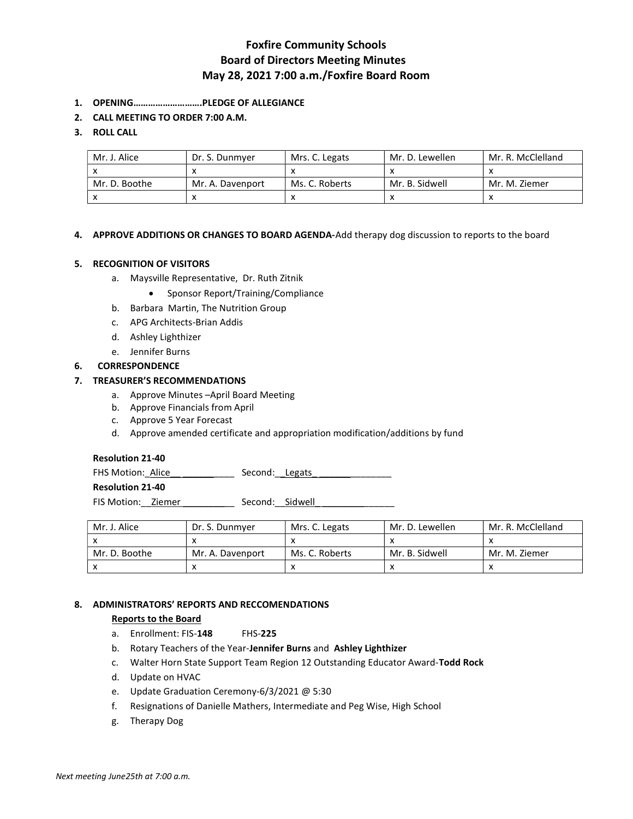# Foxfire Community Schools Board of Directors Meeting Minutes May 28, 2021 7:00 a.m./Foxfire Board Room

- 1. OPENING……………………….PLEDGE OF ALLEGIANCE
- 2. CALL MEETING TO ORDER 7:00 A.M.

## 3. ROLL CALL

| Mr. J. Alice  | Dr. S. Dunmver   | Mrs. C. Legats | Mr. D. Lewellen | Mr. R. McClelland |
|---------------|------------------|----------------|-----------------|-------------------|
|               |                  |                |                 |                   |
| Mr. D. Boothe | Mr. A. Davenport | Ms. C. Roberts | Mr. B. Sidwell  | Mr. M. Ziemer     |
|               |                  |                |                 |                   |

### 4. APPROVE ADDITIONS OR CHANGES TO BOARD AGENDA-Add therapy dog discussion to reports to the board

### 5. RECOGNITION OF VISITORS

- a. Maysville Representative, Dr. Ruth Zitnik
	- Sponsor Report/Training/Compliance
- b. Barbara Martin, The Nutrition Group
- c. APG Architects-Brian Addis
- d. Ashley Lighthizer
- e. Jennifer Burns

## 6. CORRESPONDENCE

### 7. TREASURER'S RECOMMENDATIONS

- a. Approve Minutes –April Board Meeting
- b. Approve Financials from April
- c. Approve 5 Year Forecast
- d. Approve amended certificate and appropriation modification/additions by fund

#### Resolution 21-40

FHS Motion: Alice \_\_\_\_\_\_\_\_\_\_\_\_\_\_\_\_\_ Second: Legats

Resolution 21-40

FIS Motion: \_\_ Ziemer \_\_\_\_\_\_\_\_\_\_\_\_\_\_\_ Second: \_\_ Sidwell

| Mr. J. Alice  | Dr. S. Dunmver   | Mrs. C. Legats | Mr. D. Lewellen | Mr. R. McClelland |
|---------------|------------------|----------------|-----------------|-------------------|
|               |                  |                |                 |                   |
| Mr. D. Boothe | Mr. A. Davenport | Ms. C. Roberts | Mr. B. Sidwell  | Mr. M. Ziemer     |
|               |                  |                | $\mathbf{v}$    |                   |

## 8. ADMINISTRATORS' REPORTS AND RECCOMENDATIONS

## Reports to the Board

- a. Enrollment: FIS-148 FHS-225
- b. Rotary Teachers of the Year-Jennifer Burns and Ashley Lighthizer
- c. Walter Horn State Support Team Region 12 Outstanding Educator Award-Todd Rock
- d. Update on HVAC
- e. Update Graduation Ceremony-6/3/2021 @ 5:30
- f. Resignations of Danielle Mathers, Intermediate and Peg Wise, High School
- g. Therapy Dog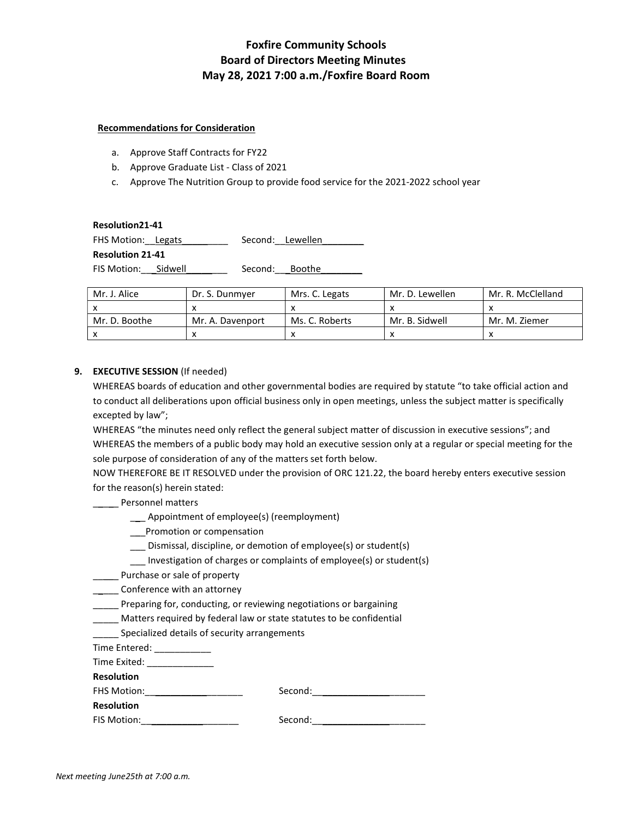# Foxfire Community Schools Board of Directors Meeting Minutes May 28, 2021 7:00 a.m./Foxfire Board Room

### Recommendations for Consideration

- a. Approve Staff Contracts for FY22
- b. Approve Graduate List Class of 2021
- c. Approve The Nutrition Group to provide food service for the 2021-2022 school year

#### Resolution21-41

FHS Motion: Legats \_\_\_\_\_\_\_\_\_ Second: Lewellen Resolution 21-41 FIS Motion: Sidwell Second: Boothe

| Mr. J. Alice  | Dr. S. Dunmyer   | Mrs. C. Legats | Mr. D. Lewellen | Mr. R. McClelland |
|---------------|------------------|----------------|-----------------|-------------------|
|               |                  |                |                 |                   |
| Mr. D. Boothe | Mr. A. Davenport | Ms. C. Roberts | Mr. B. Sidwell  | Mr. M. Ziemer     |
|               |                  |                |                 |                   |

## 9. EXECUTIVE SESSION (If needed)

WHEREAS boards of education and other governmental bodies are required by statute "to take official action and to conduct all deliberations upon official business only in open meetings, unless the subject matter is specifically excepted by law";

WHEREAS "the minutes need only reflect the general subject matter of discussion in executive sessions"; and WHEREAS the members of a public body may hold an executive session only at a regular or special meeting for the sole purpose of consideration of any of the matters set forth below.

NOW THEREFORE BE IT RESOLVED under the provision of ORC 121.22, the board hereby enters executive session for the reason(s) herein stated:

## **\_\_\_\_** Personnel matters

- \_\_\_ Appointment of employee(s) (reemployment)
- \_\_\_Promotion or compensation
- \_\_\_ Dismissal, discipline, or demotion of employee(s) or student(s)
- \_\_\_ Investigation of charges or complaints of employee(s) or student(s)
- \_\_\_\_\_ Purchase or sale of property
- **\_\_\_\_** Conference with an attorney
- \_\_\_\_\_ Preparing for, conducting, or reviewing negotiations or bargaining
- \_\_\_\_\_ Matters required by federal law or state statutes to be confidential
- Specialized details of security arrangements

Time Entered: \_\_\_\_\_\_\_\_\_\_\_\_\_

Time Exited:

Resolution

| <b>FHS Motion:</b> | Second: |
|--------------------|---------|
|                    |         |

Resolution

FIS Motion:\_\_\_\_\_\_\_\_\_\_\_\_\_\_\_\_\_\_\_ Second:\_\_\_\_\_\_\_\_\_\_\_\_\_\_\_\_\_\_\_\_\_\_